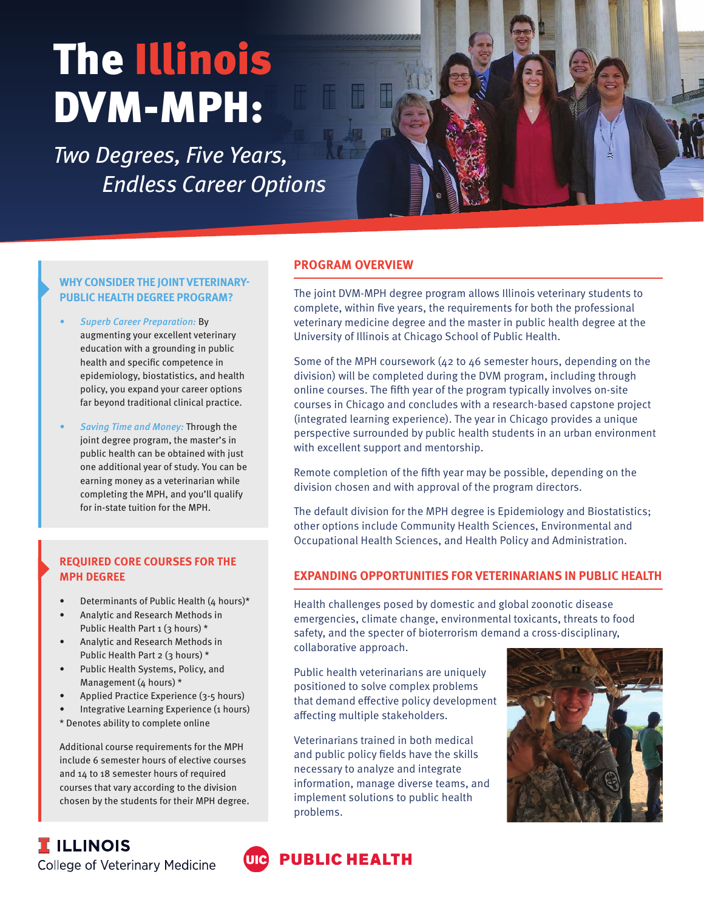# The Illinois DVM-MPH:

Two Degrees, Five Years, Endless Career Options



#### **WHY CONSIDER THE JOINT VETERINARY-PUBLIC HEALTH DEGREE PROGRAM?**

- Superb Career Preparation: By augmenting your excellent veterinary education with a grounding in public health and specific competence in epidemiology, biostatistics, and health policy, you expand your career options far beyond traditional clinical practice.
- Saving Time and Money: Through the joint degree program, the master's in public health can be obtained with just one additional year of study. You can be earning money as a veterinarian while completing the MPH, and you'll qualify for in-state tuition for the MPH.

## **REQUIRED CORE COURSES FOR THE MPH DEGREE**

- Determinants of Public Health (4 hours)\*
- Analytic and Research Methods in Public Health Part 1 (3 hours) \*
- Analytic and Research Methods in Public Health Part 2 (3 hours) \*
- Public Health Systems, Policy, and Management (4 hours)  $*$
- Applied Practice Experience (3-5 hours)
- Integrative Learning Experience (1 hours)
- \* Denotes ability to complete online

Additional course requirements for the MPH include 6 semester hours of elective courses and 14 to 18 semester hours of required courses that vary according to the division chosen by the students for their MPH degree.

### **PROGRAM OVERVIEW**

The joint DVM-MPH degree program allows Illinois veterinary students to complete, within five years, the requirements for both the professional veterinary medicine degree and the master in public health degree at the University of Illinois at Chicago School of Public Health.

Some of the MPH coursework (42 to 46 semester hours, depending on the division) will be completed during the DVM program, including through online courses. The fifth year of the program typically involves on-site courses in Chicago and concludes with a research-based capstone project (integrated learning experience). The year in Chicago provides a unique perspective surrounded by public health students in an urban environment with excellent support and mentorship.

Remote completion of the fifth year may be possible, depending on the division chosen and with approval of the program directors.

The default division for the MPH degree is Epidemiology and Biostatistics; other options include Community Health Sciences, Environmental and Occupational Health Sciences, and Health Policy and Administration.

## **EXPANDING OPPORTUNITIES FOR VETERINARIANS IN PUBLIC HEALTH**

Health challenges posed by domestic and global zoonotic disease emergencies, climate change, environmental toxicants, threats to food safety, and the specter of bioterrorism demand a cross-disciplinary, collaborative approach.

Public health veterinarians are uniquely positioned to solve complex problems that demand effective policy development affecting multiple stakeholders.

Veterinarians trained in both medical and public policy fields have the skills necessary to analyze and integrate information, manage diverse teams, and implement solutions to public health problems.